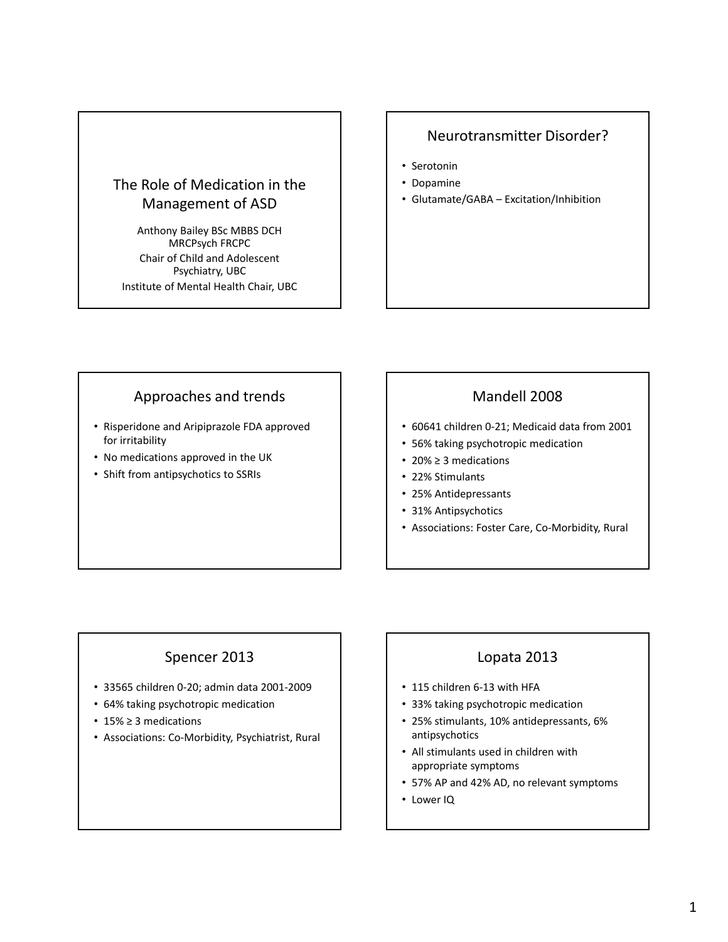# The Role of Medication in the Management of ASD

Anthony Bailey BSc MBBS DCH MRCPsych FRCPC Chair of Child and Adolescent Psychiatry, UBC Institute of Mental Health Chair, UBC

#### Neurotransmitter Disorder?

- Serotonin
- Dopamine
- Glutamate/GABA Excitation/Inhibition

### Approaches and trends

- Risperidone and Aripiprazole FDA approved for irritability
- No medications approved in the UK
- Shift from antipsychotics to SSRIs

#### Mandell 2008

- 60641 children 0‐21; Medicaid data from 2001
- 56% taking psychotropic medication
- 20% ≥ 3 medications
- 22% Stimulants
- 25% Antidepressants
- 31% Antipsychotics
- Associations: Foster Care, Co‐Morbidity, Rural

### Spencer 2013

- 33565 children 0‐20; admin data 2001‐2009
- 64% taking psychotropic medication
- 15% ≥ 3 medications
- Associations: Co‐Morbidity, Psychiatrist, Rural

### Lopata 2013

- 115 children 6-13 with HFA
- 33% taking psychotropic medication
- 25% stimulants, 10% antidepressants, 6% antipsychotics
- All stimulants used in children with appropriate symptoms
- 57% AP and 42% AD, no relevant symptoms
- Lower IQ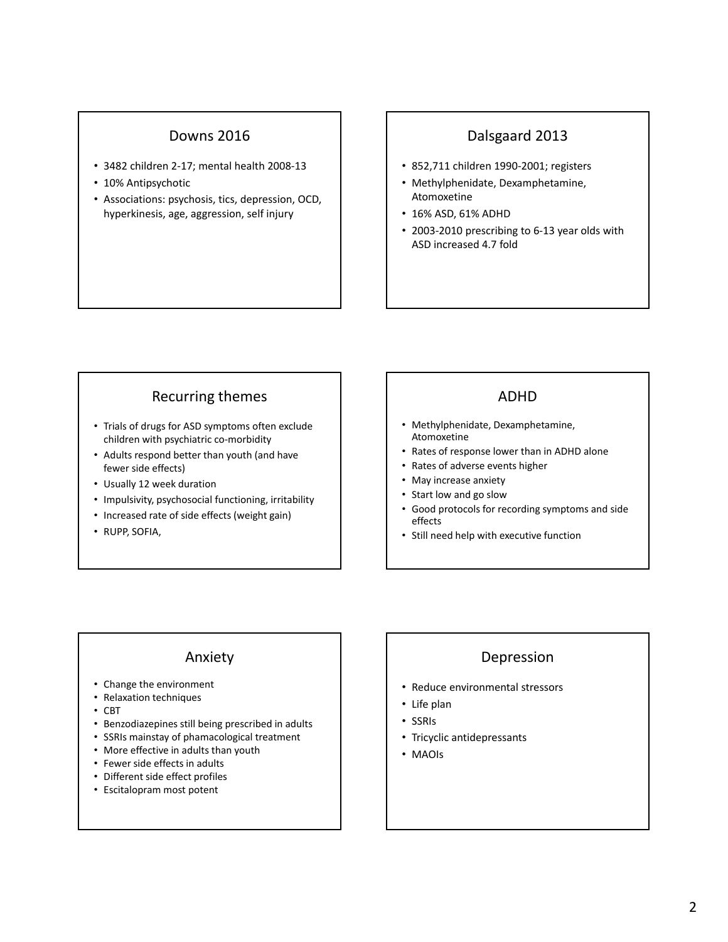### Downs 2016

- 3482 children 2‐17; mental health 2008‐13
- 10% Antipsychotic
- Associations: psychosis, tics, depression, OCD, hyperkinesis, age, aggression, self injury

#### Dalsgaard 2013

- 852,711 children 1990‐2001; registers
- Methylphenidate, Dexamphetamine, Atomoxetine
- 16% ASD, 61% ADHD
- 2003‐2010 prescribing to 6‐13 year olds with ASD increased 4.7 fold

### Recurring themes

- Trials of drugs for ASD symptoms often exclude children with psychiatric co‐morbidity
- Adults respond better than youth (and have fewer side effects)
- Usually 12 week duration
- Impulsivity, psychosocial functioning, irritability
- Increased rate of side effects (weight gain)
- RUPP, SOFIA,

#### ADHD

- Methylphenidate, Dexamphetamine, Atomoxetine
- Rates of response lower than in ADHD alone
- Rates of adverse events higher
- May increase anxiety
- Start low and go slow
- Good protocols for recording symptoms and side effects
- Still need help with executive function

#### Anxiety

- Change the environment
- Relaxation techniques
- CBT
- Benzodiazepines still being prescribed in adults
- SSRIs mainstay of phamacological treatment
- More effective in adults than youth
- Fewer side effects in adults
- Different side effect profiles
- Escitalopram most potent

### Depression

- Reduce environmental stressors
- Life plan
- SSRIs
- Tricyclic antidepressants
- MAOIs